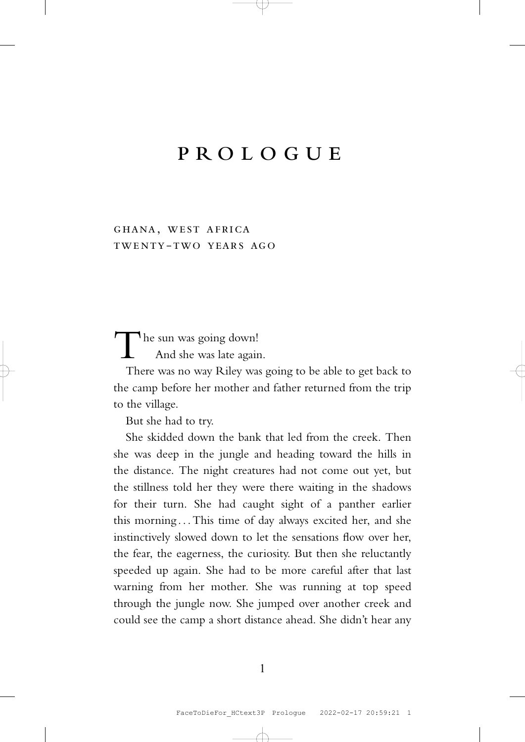# **PROLOGUE**

ghana, west africa twenty-two years ago

The sun was going down! And she was late again.

There was no way Riley was going to be able to get back to the camp before her mother and father returned from the trip to the village.

But she had to try.

She skidded down the bank that led from the creek. Then she was deep in the jungle and heading toward the hills in the distance. The night creatures had not come out yet, but the stillness told her they were there waiting in the shadows for their turn. She had caught sight of a panther earlier this morning . . .This time of day always excited her, and she instinctively slowed down to let the sensations flow over her, the fear, the eagerness, the curiosity. But then she reluctantly speeded up again. She had to be more careful after that last warning from her mother. She was running at top speed through the jungle now. She jumped over another creek and could see the camp a short distance ahead. She didn't hear any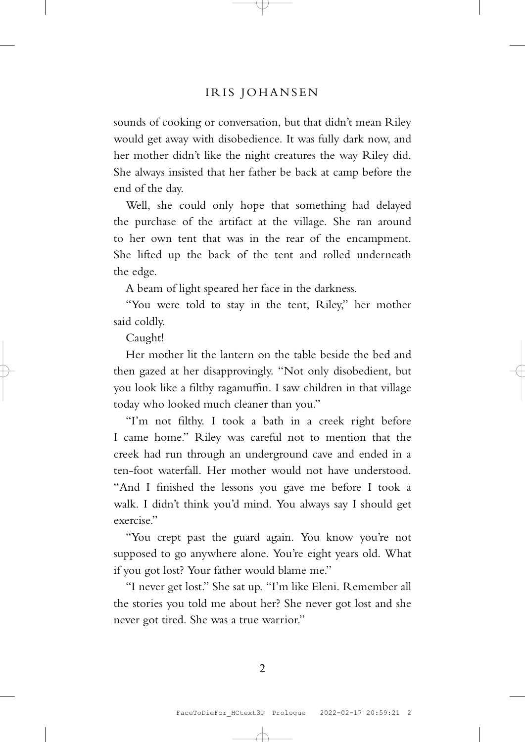## IRIS JOHANSEN

sounds of cooking or conversation, but that didn't mean Riley would get away with disobedience. It was fully dark now, and her mother didn't like the night creatures the way Riley did. She always insisted that her father be back at camp before the end of the day.

Well, she could only hope that something had delayed the purchase of the artifact at the village. She ran around to her own tent that was in the rear of the encampment. She lifted up the back of the tent and rolled underneath the edge.

A beam of light speared her face in the darkness.

"You were told to stay in the tent, Riley," her mother said coldly.

Caught!

Her mother lit the lantern on the table beside the bed and then gazed at her disapprovingly. "Not only disobedient, but you look like a filthy ragamuffin. I saw children in that village today who looked much cleaner than you."

"I'm not filthy. I took a bath in a creek right before I came home." Riley was careful not to mention that the creek had run through an underground cave and ended in a ten-foot waterfall. Her mother would not have understood. "And I finished the lessons you gave me before I took a walk. I didn't think you'd mind. You always say I should get exercise."

"You crept past the guard again. You know you're not supposed to go anywhere alone. You're eight years old. What if you got lost? Your father would blame me."

"I never get lost." She sat up. "I'm like Eleni. Remember all the stories you told me about her? She never got lost and she never got tired. She was a true warrior."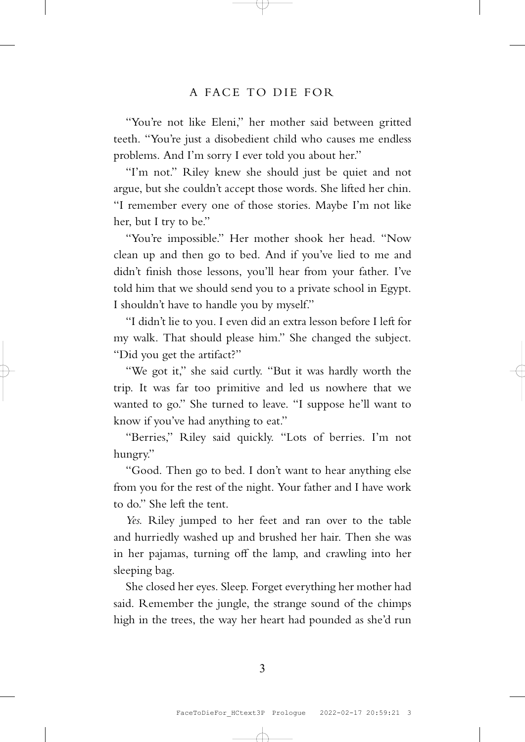## A FACE TO DIE FOR

"You're not like Eleni," her mother said between gritted teeth. "You're just a disobedient child who causes me endless problems. And I'm sorry I ever told you about her."

"I'm not." Riley knew she should just be quiet and not argue, but she couldn't accept those words. She lifted her chin. "I remember every one of those stories. Maybe I'm not like her, but I try to be."

"You're impossible." Her mother shook her head. "Now clean up and then go to bed. And if you've lied to me and didn't finish those lessons, you'll hear from your father. I've told him that we should send you to a private school in Egypt. I shouldn't have to handle you by myself."

"I didn't lie to you. I even did an extra lesson before I left for my walk. That should please him." She changed the subject. "Did you get the artifact?"

"We got it," she said curtly. "But it was hardly worth the trip. It was far too primitive and led us nowhere that we wanted to go." She turned to leave. "I suppose he'll want to know if you've had anything to eat."

"Berries," Riley said quickly. "Lots of berries. I'm not hungry."

"Good. Then go to bed. I don't want to hear anything else from you for the rest of the night. Your father and I have work to do." She left the tent.

*Yes.* Riley jumped to her feet and ran over to the table and hurriedly washed up and brushed her hair. Then she was in her pajamas, turning off the lamp, and crawling into her sleeping bag.

She closed her eyes. Sleep. Forget everything her mother had said. Remember the jungle, the strange sound of the chimps high in the trees, the way her heart had pounded as she'd run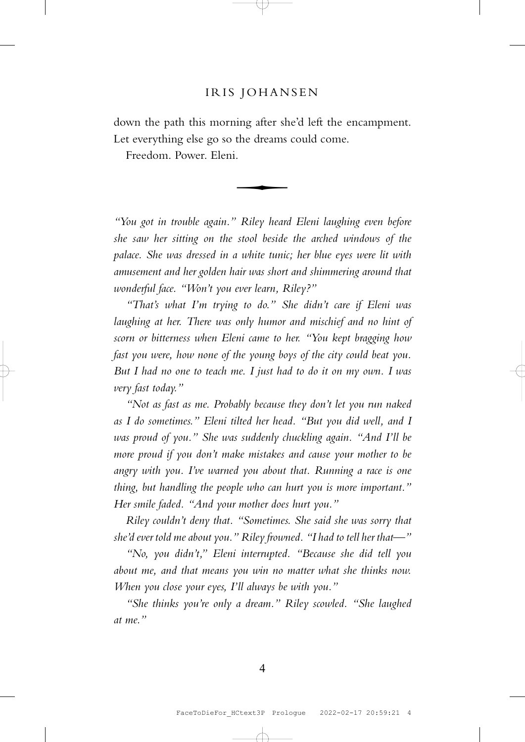## IRIS JOHANSEN

down the path this morning after she'd left the encampment. Let everything else go so the dreams could come.

**)** 

Freedom. Power. Eleni.

*"You got in trouble again." Riley heard Eleni laughing even before she saw her sitting on the stool beside the arched windows of the palace. She was dressed in a white tunic; her blue eyes were lit with amusement and her golden hair was short and shimmering around that wonderful face. "Won't you ever learn, Riley?"* 

*"That's what I'm trying to do." She didn't care if Eleni was*  laughing at her. There was only humor and mischief and no hint of *scorn or bitterness when Eleni came to her. "You kept bragging how fast you were, how none of the young boys of the city could beat you. But I had no one to teach me. I just had to do it on my own. I was very fast today."* 

*"Not as fast as me. Probably because they don't let you run naked as I do sometimes." Eleni tilted her head. "But you did well, and I was proud of you." She was suddenly chuckling again. "And I'll be more proud if you don't make mistakes and cause your mother to be angry with you. I've warned you about that. Running a race is one thing, but handling the people who can hurt you is more important." Her smile faded. "And your mother does hurt you."* 

*Riley couldn't deny that. "Sometimes. She said she was sorry that she'd ever told me about you." Riley frowned. "I had to tell her that—"* 

*"No, you didn't," Eleni interrupted. "Because she did tell you about me, and that means you win no matter what she thinks now. When you close your eyes, I'll always be with you."* 

*"She thinks you're only a dream." Riley scowled. "She laughed at me."*